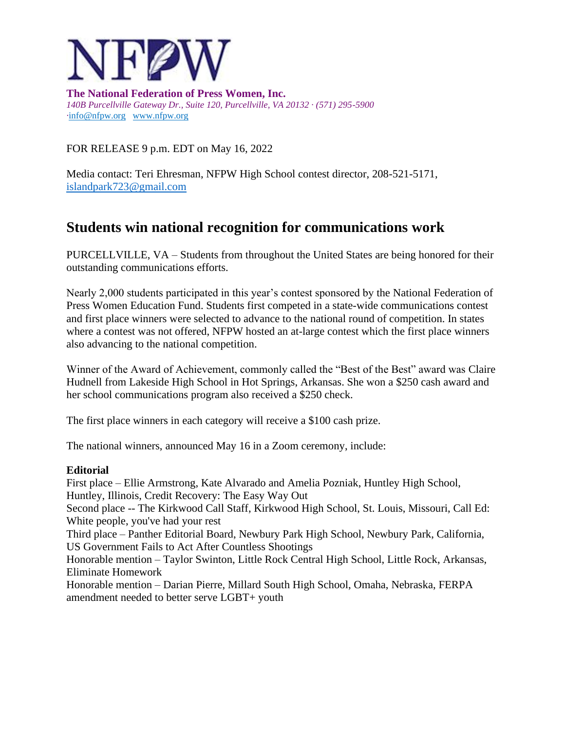

**The National Federation of Press Women, Inc.** *140B Purcellville Gateway Dr., Suite 120, Purcellville, VA 20132 · (571) 295-5900 ·*[info@nfpw.org](mailto:info@nfpw.org)[www.nfpw.org](http://www.nfpw.org/)

FOR RELEASE 9 p.m. EDT on May 16, 2022

Media contact: Teri Ehresman, NFPW High School contest director, 208-521-5171, [islandpark723@gmail.com](mailto:islandpark723@gmail.com)

# **Students win national recognition for communications work**

PURCELLVILLE, VA – Students from throughout the United States are being honored for their outstanding communications efforts.

Nearly 2,000 students participated in this year's contest sponsored by the National Federation of Press Women Education Fund. Students first competed in a state-wide communications contest and first place winners were selected to advance to the national round of competition. In states where a contest was not offered, NFPW hosted an at-large contest which the first place winners also advancing to the national competition.

Winner of the Award of Achievement, commonly called the "Best of the Best" award was Claire Hudnell from Lakeside High School in Hot Springs, Arkansas. She won a \$250 cash award and her school communications program also received a \$250 check.

The first place winners in each category will receive a \$100 cash prize.

The national winners, announced May 16 in a Zoom ceremony, include:

# **Editorial**

First place – Ellie Armstrong, Kate Alvarado and Amelia Pozniak, Huntley High School, Huntley, Illinois, Credit Recovery: The Easy Way Out Second place -- The Kirkwood Call Staff, Kirkwood High School, St. Louis, Missouri, Call Ed: White people, you've had your rest Third place – Panther Editorial Board, Newbury Park High School, Newbury Park, California, US Government Fails to Act After Countless Shootings Honorable mention – Taylor Swinton, Little Rock Central High School, Little Rock, Arkansas, Eliminate Homework Honorable mention – Darian Pierre, Millard South High School, Omaha, Nebraska, FERPA amendment needed to better serve LGBT+ youth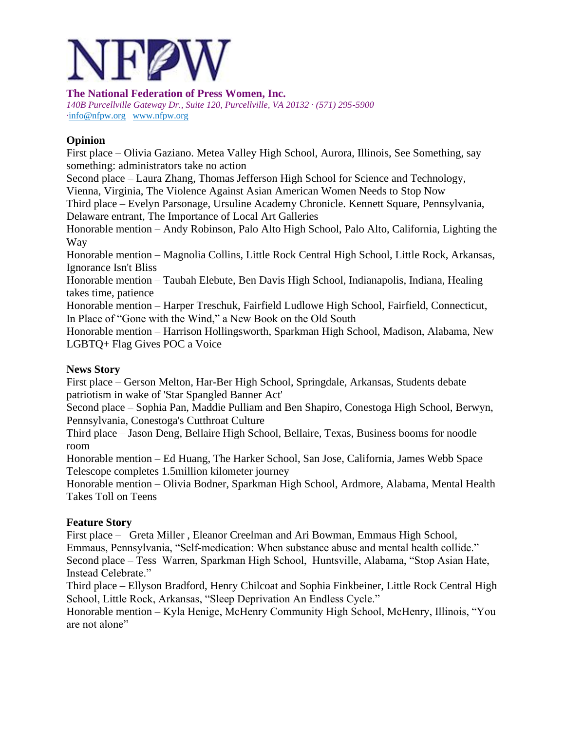

**The National Federation of Press Women, Inc.** *140B Purcellville Gateway Dr., Suite 120, Purcellville, VA 20132 · (571) 295-5900 ·*[info@nfpw.org](mailto:info@nfpw.org)[www.nfpw.org](http://www.nfpw.org/)

# **Opinion**

First place – Olivia Gaziano. Metea Valley High School, Aurora, Illinois, See Something, say something: administrators take no action

Second place – Laura Zhang, Thomas Jefferson High School for Science and Technology, Vienna, Virginia, The Violence Against Asian American Women Needs to Stop Now

Third place – Evelyn Parsonage, Ursuline Academy Chronicle. Kennett Square, Pennsylvania, Delaware entrant, The Importance of Local Art Galleries

Honorable mention – Andy Robinson, Palo Alto High School, Palo Alto, California, Lighting the Way

Honorable mention – Magnolia Collins, Little Rock Central High School, Little Rock, Arkansas, Ignorance Isn't Bliss

Honorable mention – Taubah Elebute, Ben Davis High School, Indianapolis, Indiana, Healing takes time, patience

Honorable mention – Harper Treschuk, Fairfield Ludlowe High School, Fairfield, Connecticut, In Place of "Gone with the Wind," a New Book on the Old South

Honorable mention – Harrison Hollingsworth, Sparkman High School, Madison, Alabama, New LGBTQ+ Flag Gives POC a Voice

# **News Story**

First place – Gerson Melton, Har-Ber High School, Springdale, Arkansas, Students debate patriotism in wake of 'Star Spangled Banner Act'

Second place – Sophia Pan, Maddie Pulliam and Ben Shapiro, Conestoga High School, Berwyn, Pennsylvania, Conestoga's Cutthroat Culture

Third place – Jason Deng, Bellaire High School, Bellaire, Texas, Business booms for noodle room

Honorable mention – Ed Huang, The Harker School, San Jose, California, James Webb Space Telescope completes 1.5million kilometer journey

Honorable mention – Olivia Bodner, Sparkman High School, Ardmore, Alabama, Mental Health Takes Toll on Teens

# **Feature Story**

First place – Greta Miller , Eleanor Creelman and Ari Bowman, Emmaus High School, Emmaus, Pennsylvania, "Self-medication: When substance abuse and mental health collide." Second place – Tess Warren, Sparkman High School, Huntsville, Alabama, "Stop Asian Hate, Instead Celebrate."

Third place – Ellyson Bradford, Henry Chilcoat and Sophia Finkbeiner, Little Rock Central High School, Little Rock, Arkansas, "Sleep Deprivation An Endless Cycle."

Honorable mention – Kyla Henige, McHenry Community High School, McHenry, Illinois, "You are not alone"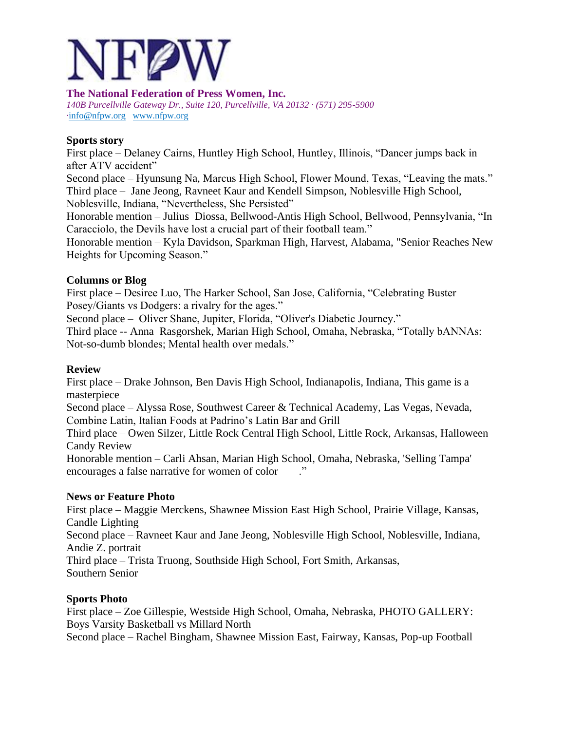

*140B Purcellville Gateway Dr., Suite 120, Purcellville, VA 20132 · (571) 295-5900 ·*[info@nfpw.org](mailto:info@nfpw.org)[www.nfpw.org](http://www.nfpw.org/)

#### **Sports story**

First place – Delaney Cairns, Huntley High School, Huntley, Illinois, "Dancer jumps back in after ATV accident"

Second place – Hyunsung Na, Marcus High School, Flower Mound, Texas, "Leaving the mats." Third place – Jane Jeong, Ravneet Kaur and Kendell Simpson, Noblesville High School, Noblesville, Indiana, "Nevertheless, She Persisted"

Honorable mention – Julius Diossa, Bellwood-Antis High School, Bellwood, Pennsylvania, "In Caracciolo, the Devils have lost a crucial part of their football team."

Honorable mention – Kyla Davidson, Sparkman High, Harvest, Alabama, "Senior Reaches New Heights for Upcoming Season."

## **Columns or Blog**

First place – Desiree Luo, The Harker School, San Jose, California, "Celebrating Buster Posey/Giants vs Dodgers: a rivalry for the ages."

Second place – Oliver Shane, Jupiter, Florida, "Oliver's Diabetic Journey."

Third place -- Anna Rasgorshek, Marian High School, Omaha, Nebraska, "Totally bANNAs: Not-so-dumb blondes; Mental health over medals."

#### **Review**

First place – Drake Johnson, Ben Davis High School, Indianapolis, Indiana, This game is a masterpiece

Second place – Alyssa Rose, Southwest Career & Technical Academy, Las Vegas, Nevada, Combine Latin, Italian Foods at Padrino's Latin Bar and Grill

Third place – Owen Silzer, Little Rock Central High School, Little Rock, Arkansas, Halloween Candy Review

Honorable mention – Carli Ahsan, Marian High School, Omaha, Nebraska, 'Selling Tampa' encourages a false narrative for women of color  $\cdot$ "

#### **News or Feature Photo**

First place – Maggie Merckens, Shawnee Mission East High School, Prairie Village, Kansas, Candle Lighting

Second place – Ravneet Kaur and Jane Jeong, Noblesville High School, Noblesville, Indiana, Andie Z. portrait

Third place – Trista Truong, Southside High School, Fort Smith, Arkansas, Southern Senior

# **Sports Photo**

First place – Zoe Gillespie, Westside High School, Omaha, Nebraska, PHOTO GALLERY: Boys Varsity Basketball vs Millard North

Second place – Rachel Bingham, Shawnee Mission East, Fairway, Kansas, Pop-up Football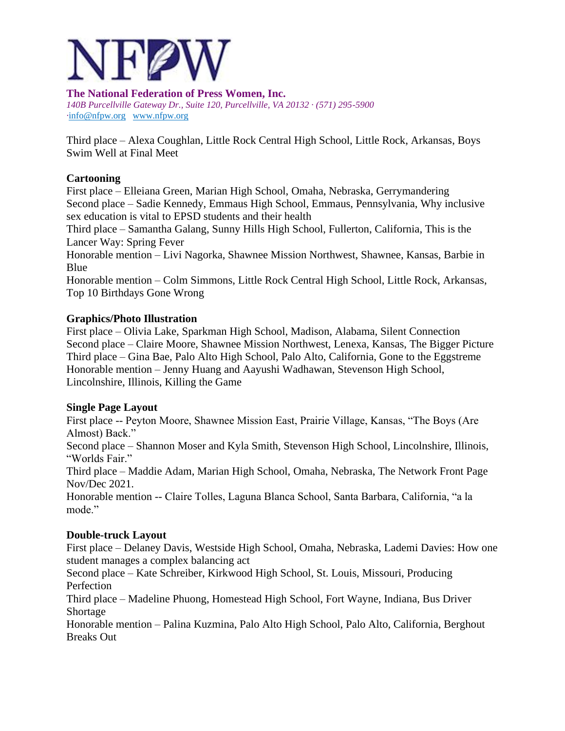

*140B Purcellville Gateway Dr., Suite 120, Purcellville, VA 20132 · (571) 295-5900 ·*[info@nfpw.org](mailto:info@nfpw.org)[www.nfpw.org](http://www.nfpw.org/)

Third place – Alexa Coughlan, Little Rock Central High School, Little Rock, Arkansas, Boys Swim Well at Final Meet

#### **Cartooning**

First place – Elleiana Green, Marian High School, Omaha, Nebraska, Gerrymandering Second place – Sadie Kennedy, Emmaus High School, Emmaus, Pennsylvania, Why inclusive sex education is vital to EPSD students and their health

Third place – Samantha Galang, Sunny Hills High School, Fullerton, California, This is the Lancer Way: Spring Fever

Honorable mention – Livi Nagorka, Shawnee Mission Northwest, Shawnee, Kansas, Barbie in Blue

Honorable mention – Colm Simmons, Little Rock Central High School, Little Rock, Arkansas, Top 10 Birthdays Gone Wrong

#### **Graphics/Photo Illustration**

First place – Olivia Lake, Sparkman High School, Madison, Alabama, Silent Connection Second place – Claire Moore, Shawnee Mission Northwest, Lenexa, Kansas, The Bigger Picture Third place – Gina Bae, Palo Alto High School, Palo Alto, California, Gone to the Eggstreme Honorable mention – Jenny Huang and Aayushi Wadhawan, Stevenson High School, Lincolnshire, Illinois, Killing the Game

#### **Single Page Layout**

First place -- Peyton Moore, Shawnee Mission East, Prairie Village, Kansas, "The Boys (Are Almost) Back."

Second place – Shannon Moser and Kyla Smith, Stevenson High School, Lincolnshire, Illinois, "Worlds Fair."

Third place – Maddie Adam, Marian High School, Omaha, Nebraska, The Network Front Page Nov/Dec 2021.

Honorable mention -- Claire Tolles, Laguna Blanca School, Santa Barbara, California, "a la mode."

#### **Double-truck Layout**

First place – Delaney Davis, Westside High School, Omaha, Nebraska, Lademi Davies: How one student manages a complex balancing act

Second place – Kate Schreiber, Kirkwood High School, St. Louis, Missouri, Producing Perfection

Third place – Madeline Phuong, Homestead High School, Fort Wayne, Indiana, Bus Driver Shortage

Honorable mention – Palina Kuzmina, Palo Alto High School, Palo Alto, California, Berghout Breaks Out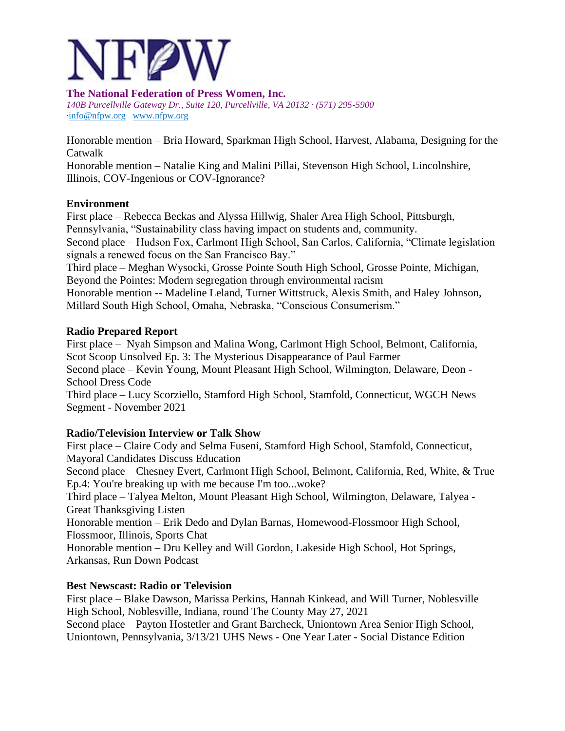

*140B Purcellville Gateway Dr., Suite 120, Purcellville, VA 20132 · (571) 295-5900 ·*[info@nfpw.org](mailto:info@nfpw.org)[www.nfpw.org](http://www.nfpw.org/)

Honorable mention – Bria Howard, Sparkman High School, Harvest, Alabama, Designing for the Catwalk

Honorable mention – Natalie King and Malini Pillai, Stevenson High School, Lincolnshire, Illinois, COV-Ingenious or COV-Ignorance?

## **Environment**

First place – Rebecca Beckas and Alyssa Hillwig, Shaler Area High School, Pittsburgh, Pennsylvania, "Sustainability class having impact on students and, community. Second place – Hudson Fox, Carlmont High School, San Carlos, California, "Climate legislation signals a renewed focus on the San Francisco Bay." Third place – Meghan Wysocki, Grosse Pointe South High School, Grosse Pointe, Michigan, Beyond the Pointes: Modern segregation through environmental racism Honorable mention -- Madeline Leland, Turner Wittstruck, Alexis Smith, and Haley Johnson,

Millard South High School, Omaha, Nebraska, "Conscious Consumerism."

## **Radio Prepared Report**

First place – Nyah Simpson and Malina Wong, Carlmont High School, Belmont, California, Scot Scoop Unsolved Ep. 3: The Mysterious Disappearance of Paul Farmer Second place – Kevin Young, Mount Pleasant High School, Wilmington, Delaware, Deon - School Dress Code

Third place – Lucy Scorziello, Stamford High School, Stamfold, Connecticut, WGCH News Segment - November 2021

# **Radio/Television Interview or Talk Show**

First place – Claire Cody and Selma Fuseni, Stamford High School, Stamfold, Connecticut, Mayoral Candidates Discuss Education Second place – Chesney Evert, Carlmont High School, Belmont, California, Red, White, & True Ep.4: You're breaking up with me because I'm too...woke? Third place – Talyea Melton, Mount Pleasant High School, Wilmington, Delaware, Talyea - Great Thanksgiving Listen Honorable mention – Erik Dedo and Dylan Barnas, Homewood-Flossmoor High School, Flossmoor, Illinois, Sports Chat Honorable mention – Dru Kelley and Will Gordon, Lakeside High School, Hot Springs, Arkansas, Run Down Podcast

# **Best Newscast: Radio or Television**

First place – Blake Dawson, Marissa Perkins, Hannah Kinkead, and Will Turner, Noblesville High School, Noblesville, Indiana, round The County May 27, 2021 Second place – Payton Hostetler and Grant Barcheck, Uniontown Area Senior High School, Uniontown, Pennsylvania, 3/13/21 UHS News - One Year Later - Social Distance Edition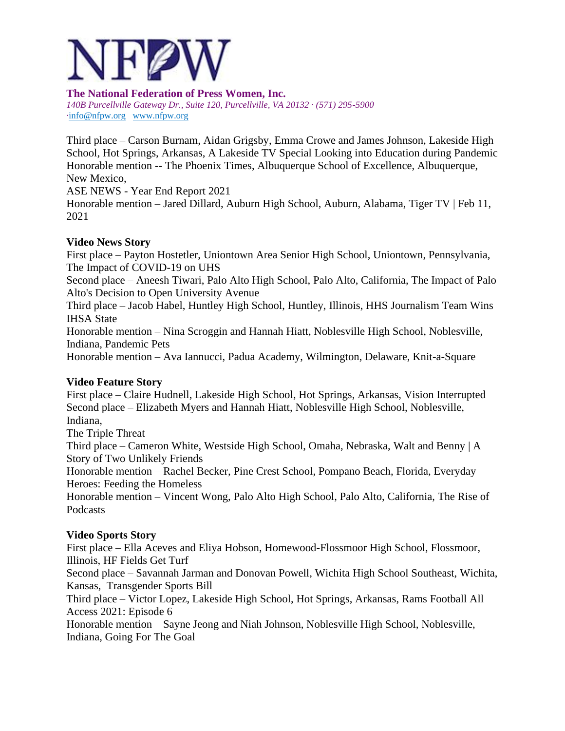

*140B Purcellville Gateway Dr., Suite 120, Purcellville, VA 20132 · (571) 295-5900 ·*[info@nfpw.org](mailto:info@nfpw.org)[www.nfpw.org](http://www.nfpw.org/)

Third place – Carson Burnam, Aidan Grigsby, Emma Crowe and James Johnson, Lakeside High School, Hot Springs, Arkansas, A Lakeside TV Special Looking into Education during Pandemic Honorable mention -- The Phoenix Times, Albuquerque School of Excellence, Albuquerque, New Mexico,

ASE NEWS - Year End Report 2021

Honorable mention – Jared Dillard, Auburn High School, Auburn, Alabama, Tiger TV | Feb 11, 2021

## **Video News Story**

First place – Payton Hostetler, Uniontown Area Senior High School, Uniontown, Pennsylvania, The Impact of COVID-19 on UHS

Second place – Aneesh Tiwari, Palo Alto High School, Palo Alto, California, The Impact of Palo Alto's Decision to Open University Avenue

Third place – Jacob Habel, Huntley High School, Huntley, Illinois, HHS Journalism Team Wins IHSA State

Honorable mention – Nina Scroggin and Hannah Hiatt, Noblesville High School, Noblesville, Indiana, Pandemic Pets

Honorable mention – Ava Iannucci, Padua Academy, Wilmington, Delaware, Knit-a-Square

# **Video Feature Story**

First place – Claire Hudnell, Lakeside High School, Hot Springs, Arkansas, Vision Interrupted Second place – Elizabeth Myers and Hannah Hiatt, Noblesville High School, Noblesville, Indiana,

The Triple Threat

Third place – Cameron White, Westside High School, Omaha, Nebraska, Walt and Benny | A Story of Two Unlikely Friends

Honorable mention – Rachel Becker, Pine Crest School, Pompano Beach, Florida, Everyday Heroes: Feeding the Homeless

Honorable mention – Vincent Wong, Palo Alto High School, Palo Alto, California, The Rise of Podcasts

# **Video Sports Story**

First place – Ella Aceves and Eliya Hobson, Homewood-Flossmoor High School, Flossmoor, Illinois, HF Fields Get Turf

Second place – Savannah Jarman and Donovan Powell, Wichita High School Southeast, Wichita, Kansas, Transgender Sports Bill

Third place – Victor Lopez, Lakeside High School, Hot Springs, Arkansas, Rams Football All Access 2021: Episode 6

Honorable mention – Sayne Jeong and Niah Johnson, Noblesville High School, Noblesville, Indiana, Going For The Goal